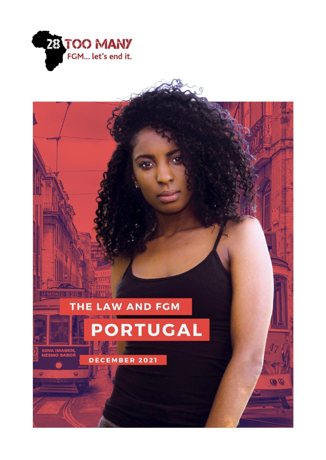

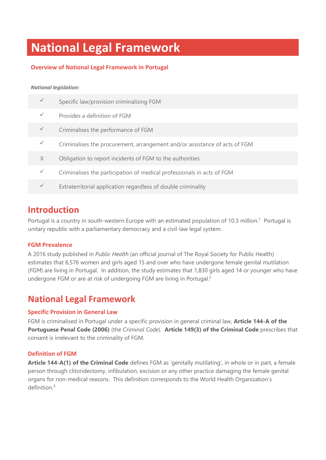# **National Legal Framework**

# **Overview of National Legal Framework in Portugal**

#### *National legislation:*

|          | Specific law/provision criminalising FGM                                   |
|----------|----------------------------------------------------------------------------|
|          | Provides a definition of FGM                                               |
|          | Criminalises the performance of FGM                                        |
|          | Criminalises the procurement, arrangement and/or assistance of acts of FGM |
| $\times$ | Obligation to report incidents of FGM to the authorities                   |
|          | Criminalises the participation of medical professionals in acts of FGM     |
|          | Extraterritorial application regardless of double criminality              |
|          |                                                                            |

# **Introduction**

Portugal is a country in south-western Europe with an estimated population of 10.3 million.<sup>1</sup> Portugal is unitary republic with a parliamentary democracy and a civil-law legal system.

## **FGM Prevalence**

A 2016 study published in *Public Health* (an official journal of The Royal Society for Public Health) estimates that 6,576 women and girls aged 15 and over who have undergone female genital mutilation (*FGM*) are living in Portugal. In addition, the study estimates that 1,830 girls aged 14 or younger who have undergone FGM or are at risk of undergoing FGM are living in Portugal.<sup>2</sup>

# **National Legal Framework**

## **Specific Provision in General Law**

FGM is criminalised in Portugal under a specific provision in general criminal law, **Article 144-A of the Portuguese Penal Code (2006)** (the *Criminal Code*). **Article 149(3) of the Criminal Code** prescribes that consent is irrelevant to the criminality of FGM.

## **Definition of FGM**

**Article 144-A(1) of the Criminal Code** defines FGM as 'genitally mutilating', in whole or in part, a female person through clitoridectomy, infibulation, excision or any other practice damaging the female genital organs for non-medical reasons. This definition corresponds to the World Health Organization's definition. 3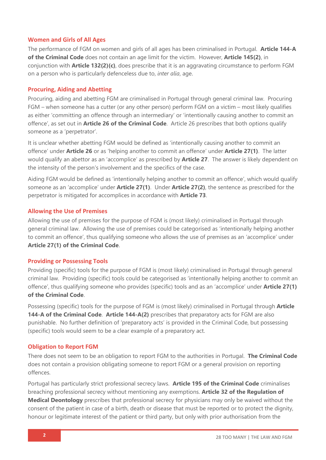### **Women and Girls of All Ages**

The performance of FGM on women and girls of all ages has been criminalised in Portugal. **Article 144-A of the Criminal Code** does not contain an age limit for the victim. However, **Article 145(2)**, in conjunction with **Article 132(2)(c)**, does prescribe that it is an aggravating circumstance to perform FGM on a person who is particularly defenceless due to, *inter alia*, age.

### **Procuring, Aiding and Abetting**

Procuring, aiding and abetting FGM are criminalised in Portugal through general criminal law. Procuring FGM – when someone has a cutter (or any other person) perform FGM on a victim – most likely qualifies as either 'committing an offence through an intermediary' or 'intentionally causing another to commit an offence', as set out in **Article 26 of the Criminal Code**. Article 26 prescribes that both options qualify someone as a 'perpetrator'.

It is unclear whether abetting FGM would be defined as 'intentionally causing another to commit an offence' under **Article 26** or as 'helping another to commit an offence' under **Article 27(1)**. The latter would qualify an abettor as an 'accomplice' as prescribed by **Article 27**. The answer is likely dependent on the intensity of the person's involvement and the specifics of the case.

Aiding FGM would be defined as 'intentionally helping another to commit an offence', which would qualify someone as an 'accomplice' under **Article 27(1)**. Under **Article 27(2)**, the sentence as prescribed for the perpetrator is mitigated for accomplices in accordance with **Article 73**.

#### **Allowing the Use of Premises**

Allowing the use of premises for the purpose of FGM is (most likely) criminalised in Portugal through general criminal law. Allowing the use of premises could be categorised as 'intentionally helping another to commit an offence', thus qualifying someone who allows the use of premises as an 'accomplice' under **Article 27(1) of the Criminal Code**.

#### **Providing or Possessing Tools**

Providing (specific) tools for the purpose of FGM is (most likely) criminalised in Portugal through general criminal law. Providing (specific) tools could be categorised as 'intentionally helping another to commit an offence', thus qualifying someone who provides (specific) tools and as an 'accomplice' under **Article 27(1) of the Criminal Code**.

Possessing (specific) tools for the purpose of FGM is (most likely) criminalised in Portugal through **Article 144-A of the Criminal Code**. **Article 144-A(2)** prescribes that preparatory acts for FGM are also punishable. No further definition of 'preparatory acts' is provided in the Criminal Code, but possessing (specific) tools would seem to be a clear example of a preparatory act.

#### **Obligation to Report FGM**

There does not seem to be an obligation to report FGM to the authorities in Portugal. **The Criminal Code** does not contain a provision obligating someone to report FGM or a general provision on reporting offences.

Portugal has particularly strict professional secrecy laws. **Article 195 of the Criminal Code** criminalises breaching professional secrecy without mentioning any exemptions. **Article 32 of the Regulation of Medical Deontology** prescribes that professional secrecy for physicians may only be waived without the consent of the patient in case of a birth, death or disease that must be reported or to protect the dignity, honour or legitimate interest of the patient or third party, but only with prior authorisation from the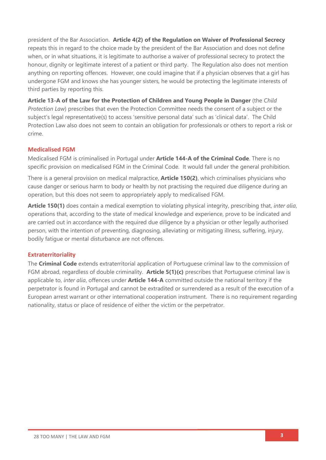president of the Bar Association. **Article 4(2) of the Regulation on Waiver of Professional Secrecy** repeats this in regard to the choice made by the president of the Bar Association and does not define when, or in what situations, it is legitimate to authorise a waiver of professional secrecy to protect the honour, dignity or legitimate interest of a patient or third party. The Regulation also does not mention anything on reporting offences. However, one could imagine that if a physician observes that a girl has undergone FGM and knows she has younger sisters, he would be protecting the legitimate interests of third parties by reporting this.

**Article 13-A of the Law for the Protection of Children and Young People in Danger** (the *Child Protection Law*) prescribes that even the Protection Committee needs the consent of a subject or the subject's legal representative(s) to access 'sensitive personal data' such as 'clinical data'. The Child Protection Law also does not seem to contain an obligation for professionals or others to report a risk or crime.

### **Medicalised FGM**

Medicalised FGM is criminalised in Portugal under **Article 144-A of the Criminal Code**. There is no specific provision on medicalised FGM in the Criminal Code. It would fall under the general prohibition.

There is a general provision on medical malpractice, **Article 150(2)**, which criminalises physicians who cause danger or serious harm to body or health by not practising the required due diligence during an operation, but this does not seem to appropriately apply to medicalised FGM.

**Article 150(1)** does contain a medical exemption to violating physical integrity, prescribing that, *inter alia*, operations that, according to the state of medical knowledge and experience, prove to be indicated and are carried out in accordance with the required due diligence by a physician or other legally authorised person, with the intention of preventing, diagnosing, alleviating or mitigating illness, suffering, injury, bodily fatigue or mental disturbance are not offences.

### **Extraterritoriality**

The **Criminal Code** extends extraterritorial application of Portuguese criminal law to the commission of FGM abroad, regardless of double criminality. **Article 5(1)(c)** prescribes that Portuguese criminal law is applicable to, *inter alia*, offences under **Article 144-A** committed outside the national territory if the perpetrator is found in Portugal and cannot be extradited or surrendered as a result of the execution of a European arrest warrant or other international cooperation instrument. There is no requirement regarding nationality, status or place of residence of either the victim or the perpetrator.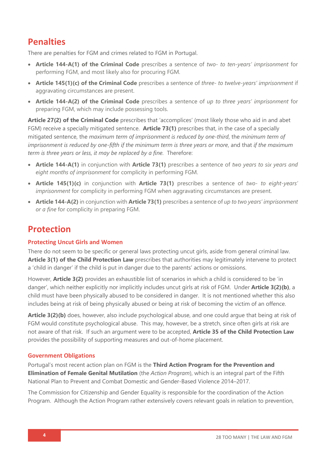# **Penalties**

There are penalties for FGM and crimes related to FGM in Portugal.

- **Article 144-A(1) of the Criminal Code** prescribes a sentence of *two- to ten-years' imprisonment* for performing FGM, and most likely also for procuring FGM.
- **Article 145(1)(c) of the Criminal Code** prescribes a sentence of *three- to twelve-years' imprisonment* if aggravating circumstances are present.
- **Article 144-A(2) of the Criminal Code** prescribes a sentence of *up to three years' imprisonment* for preparing FGM, which may include possessing tools.

**Article 27(2) of the Criminal Code** prescribes that 'accomplices' (most likely those who aid in and abet FGM) receive a specially mitigated sentence. **Article 73(1)** prescribes that, in the case of a specially mitigated sentence, the *maximum term of imprisonment is reduced by one-third*, the *minimum term of imprisonment is reduced by one-fifth if the minimum term is three years or more*, and that *if the maximum term is three years or less, it may be replaced by a fine.* Therefore:

- **Article 144-A(1)** in conjunction with **Article 73(1)** prescribes a sentence of *two years to six years and eight months of imprisonment* for complicity in performing FGM.
- **Article 145(1)(c)** in conjunction with **Article 73(1)** prescribes a sentence of *two- to eight-years' imprisonment* for complicity in performing FGM when aggravating circumstances are present.
- **Article 144-A(2)** in conjunction with **Article 73(1)** prescribes a sentence of *up to two years' imprisonment or a fine* for complicity in preparing FGM.

# **Protection**

## **Protecting Uncut Girls and Women**

There do not seem to be specific or general laws protecting uncut girls, aside from general criminal law. **Article 3(1) of the Child Protection Law** prescribes that authorities may legitimately intervene to protect a 'child in danger' if the child is put in danger due to the parents' actions or omissions.

However, **Article 3(2)** provides an exhaustible list of scenarios in which a child is considered to be 'in danger', which neither explicitly nor implicitly includes uncut girls at risk of FGM. Under **Article 3(2)(b)**, a child must have been physically abused to be considered in danger. It is not mentioned whether this also includes being at risk of being physically abused or being at risk of becoming the victim of an offence.

**Article 3(2)(b)** does, however, also include psychological abuse, and one could argue that being at risk of FGM would constitute psychological abuse. This may, however, be a stretch, since often girls at risk are not aware of that risk. If such an argument were to be accepted, **Article 35 of the Child Protection Law** provides the possibility of supporting measures and out-of-home placement.

## **Government Obligations**

Portugal's most recent action plan on FGM is the **Third Action Program for the Prevention and Elimination of Female Genital Mutilation** (the *Action Program*), which is an integral part of the Fifth National Plan to Prevent and Combat Domestic and Gender-Based Violence 2014–2017.

The Commission for Citizenship and Gender Equality is responsible for the coordination of the Action Program. Although the Action Program rather extensively covers relevant goals in relation to prevention,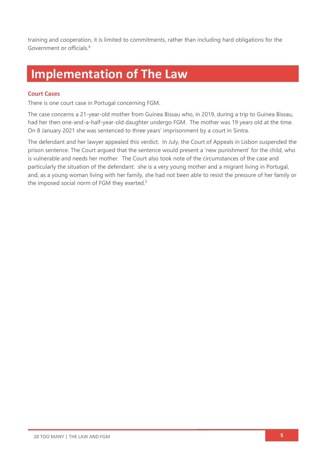training and cooperation, it is limited to commitments, rather than including hard obligations for the Government or officials. 4

# **Implementation of The Law**

### **Court Cases**

There is one court case in Portugal concerning FGM.

The case concerns a 21-year-old mother from Guinea Bissau who, in 2019, during a trip to Guinea Bissau, had her then one-and-a-half-year-old daughter undergo FGM. The mother was 19 years old at the time. On 8 January 2021 she was sentenced to three years' imprisonment by a court in Sintra.

The defendant and her lawyer appealed this verdict. In July, the Court of Appeals in Lisbon suspended the prison sentence. The Court argued that the sentence would present a 'new punishment' for the child, who is vulnerable and needs her mother. The Court also took note of the circumstances of the case and particularly the situation of the defendant: she is a very young mother and a migrant living in Portugal, and, as a young woman living with her family, she had not been able to resist the pressure of her family or the imposed social norm of FGM they exerted.<sup>5</sup>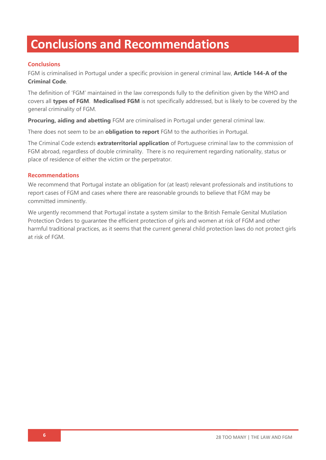# **Conclusions and Recommendations**

# **Conclusions**

FGM is criminalised in Portugal under a specific provision in general criminal law, **Article 144-A of the Criminal Code**.

The definition of 'FGM' maintained in the law corresponds fully to the definition given by the WHO and covers all **types of FGM**. **Medicalised FGM** is not specifically addressed, but is likely to be covered by the general criminality of FGM.

**Procuring, aiding and abetting** FGM are criminalised in Portugal under general criminal law.

There does not seem to be an **obligation to report** FGM to the authorities in Portugal.

The Criminal Code extends **extraterritorial application** of Portuguese criminal law to the commission of FGM abroad, regardless of double criminality. There is no requirement regarding nationality, status or place of residence of either the victim or the perpetrator.

### **Recommendations**

We recommend that Portugal instate an obligation for (at least) relevant professionals and institutions to report cases of FGM and cases where there are reasonable grounds to believe that FGM may be committed imminently.

We urgently recommend that Portugal instate a system similar to the British Female Genital Mutilation Protection Orders to guarantee the efficient protection of girls and women at risk of FGM and other harmful traditional practices, as it seems that the current general child protection laws do not protect girls at risk of FGM.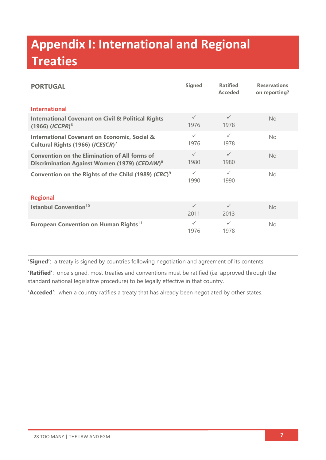# **Appendix I: International and Regional Treaties**

| <b>PORTUGAL</b>                                                                                                  | <b>Signed</b>        | <b>Ratified</b><br><b>Acceded</b> | <b>Reservations</b><br>on reporting? |  |  |
|------------------------------------------------------------------------------------------------------------------|----------------------|-----------------------------------|--------------------------------------|--|--|
| <b>International</b>                                                                                             |                      |                                   |                                      |  |  |
| <b>International Covenant on Civil &amp; Political Rights</b><br>$(1966)$ $(ICCPR)^6$                            | $\checkmark$<br>1976 | $\checkmark$<br>1978              | <b>No</b>                            |  |  |
| <b>International Covenant on Economic, Social &amp;</b><br>Cultural Rights (1966) (ICESCR) <sup>7</sup>          | $\checkmark$<br>1976 | $\checkmark$<br>1978              | No.                                  |  |  |
| <b>Convention on the Elimination of All forms of</b><br>Discrimination Against Women (1979) (CEDAW) <sup>8</sup> | $\checkmark$<br>1980 | $\checkmark$<br>1980              | <b>No</b>                            |  |  |
| Convention on the Rights of the Child (1989) (CRC) <sup>9</sup>                                                  | $\checkmark$<br>1990 | $\checkmark$<br>1990              | <b>No</b>                            |  |  |
| <b>Regional</b>                                                                                                  |                      |                                   |                                      |  |  |
| <b>Istanbul Convention<sup>10</sup></b>                                                                          | $\checkmark$<br>2011 | $\checkmark$<br>2013              | <b>No</b>                            |  |  |
| European Convention on Human Rights <sup>11</sup>                                                                | $\checkmark$<br>1976 | $\checkmark$<br>1978              | <b>No</b>                            |  |  |

**'Signed'**: a treaty is signed by countries following negotiation and agreement of its contents.

**'Ratified'**: once signed, most treaties and conventions must be ratified (i.e. approved through the standard national legislative procedure) to be legally effective in that country.

**'Acceded'**: when a country ratifies a treaty that has already been negotiated by other states.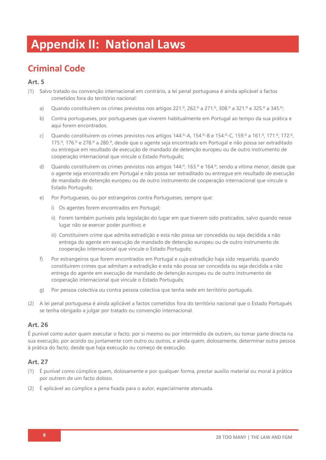# **Appendix II: National Laws**

# **Criminal Code**

## **Art. 5**

- (1) Salvo tratado ou convenção internacional em contrário, a lei penal portuguesa é ainda aplicável a factos cometidos fora do território nacional:
	- a) Quando constituírem os crimes previstos nos artigos 221.º, 262.º a 271.º, 308.º a 321.º e 325.º a 345.º;
	- b) Contra portugueses, por portugueses que viverem habitualmente em Portugal ao tempo da sua prática e aqui forem encontrados.
	- c) Quando constituírem os crimes previstos nos artigos 144.º-A, 154.º-B e 154.º-C, 159.º a 161.º, 171.º, 172.º, 175.º, 176.º e 278.º a 280.º, desde que o agente seja encontrado em Portugal e não possa ser extraditado ou entregue em resultado de execução de mandado de detenção europeu ou de outro instrumento de cooperação internacional que vincule o Estado Português;
	- d) Quando constituírem os crimes previstos nos artigos 144.º, 163.º e 164.º, sendo a vítima menor, desde que o agente seja encontrado em Portugal e não possa ser extraditado ou entregue em resultado de execução de mandado de detenção europeu ou de outro instrumento de cooperação internacional que vincule o Estado Português;
	- e) Por Portugueses, ou por estrangeiros contra Portugueses, sempre que:
		- i) Os agentes forem encontrados em Portugal;
		- ii) Forem também puníveis pela legislação do lugar em que tiverem sido praticados, salvo quando nesse lugar não se exercer poder punitivo; e
		- iii) Constituírem crime que admita extradição e esta não possa ser concedida ou seja decidida a não entrega do agente em execução de mandado de detenção europeu ou de outro instrumento de cooperação internacional que vincule o Estado Português;
	- f) Por estrangeiros que forem encontrados em Portugal e cuja extradição haja sido requerida, quando constituírem crimes que admitam a extradição e esta não possa ser concedida ou seja decidida a não entrega do agente em execução de mandado de detenção europeu ou de outro instrumento de cooperação internacional que vincule o Estado Português;
	- g) Por pessoa colectiva ou contra pessoa colectiva que tenha sede em território português.
- (2) A lei penal portuguesa é ainda aplicável a factos cometidos fora do território nacional que o Estado Português se tenha obrigado a julgar por tratado ou convenção internacional.

# **Art. 26**

É punível como autor quem executar o facto, por si mesmo ou por intermédio de outrem, ou tomar parte directa na sua execução, por acordo ou juntamente com outro ou outros, e ainda quem, dolosamente, determinar outra pessoa à prática do facto, desde que haja execução ou começo de execução.

- (1) É punível como cúmplice quem, dolosamente e por qualquer forma, prestar auxílio material ou moral à prática por outrem de um facto doloso.
- (2) É aplicável ao cúmplice a pena fixada para o autor, especialmente atenuada.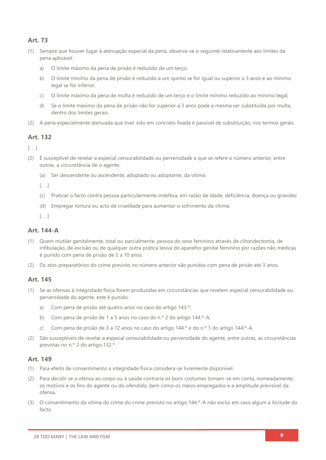# **Art. 73**

- (1) Sempre que houver lugar à atenuação especial da pena, observa-se o seguinte relativamente aos limites da pena aplicável:
	- a) O limite máximo da pena de prisão é reduzido de um terço;
	- b) O limite mínimo da pena de prisão é reduzido a um quinto se for igual ou superior a 3 anos e ao mínimo legal se for inferior;
	- c) O limite máximo da pena de multa é reduzido de um terço e o limite mínimo reduzido ao mínimo legal;
	- d) Se o limite máximo da pena de prisão não for superior a 3 anos pode a mesma ser substituída por multa, dentro dos limites gerais.
- (2) A pena especialmente atenuada que tiver sido em concreto fixada é passível de substituição, nos termos gerais.

### **Art. 132**

 $\left[ \ldots \right]$ 

- (2) É susceptível de revelar a especial censurabilidade ou perversidade a que se refere o número anterior, entre outras, a circunstância de o agente:
	- (a) Ser descendente ou ascendente, adoptado ou adoptante, da vítima;

 $\left[\ldots\right]$ 

- (c) Praticar o facto contra pessoa particularmente indefesa, em razão de idade, deficiência, doença ou gravidez
- (d) Empregar tortura ou acto de crueldade para aumentar o sofrimento da vítima;

[. . .]

### **Art. 144-A**

- (1) Quem mutilar genitalmente, total ou parcialmente, pessoa do sexo feminino através de clitoridectomia, de infibulação, de excisão ou de qualquer outra prática lesiva do aparelho genital feminino por razões não médicas é punido com pena de prisão de 2 a 10 anos.
- (2) Os atos preparatórios do crime previsto no número anterior são punidos com pena de prisão até 3 anos.

### **Art. 145**

- (1) Se as ofensas à integridade física forem produzidas em circunstâncias que revelem especial censurabilidade ou perversidade do agente, este é punido:
	- a) Com pena de prisão até quatro anos no caso do artigo 143.º;
	- b) Com pena de prisão de 1 a 5 anos no caso do n.º 2 do artigo 144.º-A;
	- c) Com pena de prisão de 3 a 12 anos no caso do artigo 144.º e do n.º 1 do artigo 144.º-A.
- (2) São susceptíveis de revelar a especial censurabilidade ou perversidade do agente, entre outras, as circunstâncias previstas no n.º 2 do artigo 132.º

- (1) Para efeito de consentimento a integridade física considera-se livremente disponível.
- (2) Para decidir se a ofensa ao corpo ou à saúde contraria os bons costumes tomam-se em conta, nomeadamente, os motivos e os fins do agente ou do ofendido, bem como os meios empregados e a amplitude previsível da ofensa.
- (3) O consentimento da vítima do crime do crime previsto no artigo 144.º-A não exclui em caso algum a ilicitude do facto.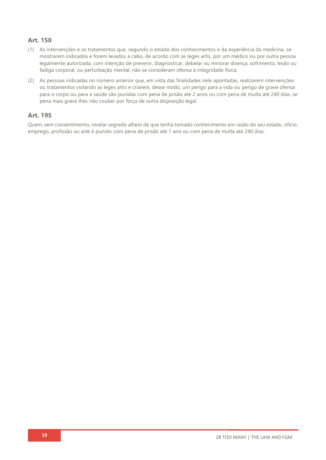# **Art. 150**

- (1) As intervenções e os tratamentos que, segundo o estado dos conhecimentos e da experiência da medicina, se mostrarem indicados e forem levados a cabo, de acordo com as leges artis, por um médico ou por outra pessoa legalmente autorizada, com intenção de prevenir, diagnosticar, debelar ou minorar doença, sofrimento, lesão ou fadiga corporal, ou perturbação mental, não se consideram ofensa à integridade física.
- (2) As pessoas indicadas no número anterior que, em vista das finalidades nele apontadas, realizarem intervenções ou tratamentos violando as leges artis e criarem, desse modo, um perigo para a vida ou perigo de grave ofensa para o corpo ou para a saúde são punidas com pena de prisão até 2 anos ou com pena de multa até 240 dias, se pena mais grave lhes não couber por força de outra disposição legal.

## **Art. 195**

Quem, sem consentimento, revelar segredo alheio de que tenha tomado conhecimento em razão do seu estado, ofício, emprego, profissão ou arte é punido com pena de prisão até 1 ano ou com pena de multa até 240 dias.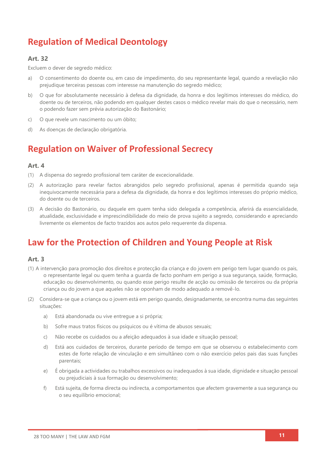# **Regulation of Medical Deontology**

### **Art. 32**

Excluem o dever de segredo médico:

- a) O consentimento do doente ou, em caso de impedimento, do seu representante legal, quando a revelação não prejudique terceiras pessoas com interesse na manutenção do segredo médico;
- b) O que for absolutamente necessário à defesa da dignidade, da honra e dos legítimos interesses do médico, do doente ou de terceiros, não podendo em qualquer destes casos o médico revelar mais do que o necessário, nem o podendo fazer sem prévia autorização do Bastonário;
- c) O que revele um nascimento ou um óbito;
- d) As doenças de declaração obrigatória.

# **Regulation on Waiver of Professional Secrecy**

### **Art. 4**

- (1) A dispensa do segredo profissional tem caráter de excecionalidade.
- (2) A autorização para revelar factos abrangidos pelo segredo profissional, apenas é permitida quando seja inequivocamente necessária para a defesa da dignidade, da honra e dos legítimos interesses do próprio médico, do doente ou de terceiros.
- (3) A decisão do Bastonário, ou daquele em quem tenha sido delegada a competência, aferirá da essencialidade, atualidade, exclusividade e imprescindibilidade do meio de prova sujeito a segredo, considerando e apreciando livremente os elementos de facto trazidos aos autos pelo requerente da dispensa.

# **Law for the Protection of Children and Young People at Risk**

- (1) A intervenção para promoção dos direitos e protecção da criança e do jovem em perigo tem lugar quando os pais, o representante legal ou quem tenha a guarda de facto ponham em perigo a sua segurança, saúde, formação, educação ou desenvolvimento, ou quando esse perigo resulte de acção ou omissão de terceiros ou da própria criança ou do jovem a que aqueles não se oponham de modo adequado a removê-lo.
- (2) Considera-se que a criança ou o jovem está em perigo quando, designadamente, se encontra numa das seguintes situações:
	- a) Está abandonada ou vive entregue a si própria;
	- b) Sofre maus tratos físicos ou psíquicos ou é vítima de abusos sexuais;
	- c) Não recebe os cuidados ou a afeição adequados à sua idade e situação pessoal;
	- d) Está aos cuidados de terceiros, durante período de tempo em que se observou o estabelecimento com estes de forte relação de vinculação e em simultâneo com o não exercício pelos pais das suas funções parentais;
	- e) É obrigada a actividades ou trabalhos excessivos ou inadequados à sua idade, dignidade e situação pessoal ou prejudiciais à sua formação ou desenvolvimento;
	- f) Está sujeita, de forma directa ou indirecta, a comportamentos que afectem gravemente a sua segurança ou o seu equilíbrio emocional;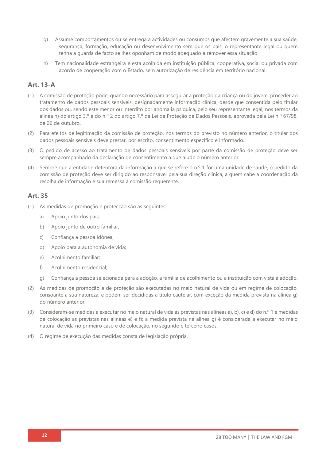- g) Assume comportamentos ou se entrega a actividades ou consumos que afectem gravemente a sua saúde, segurança, formação, educação ou desenvolvimento sem que os pais, o representante legal ou quem tenha a guarda de facto se lhes oponham de modo adequado a remover essa situação.
- h) Tem nacionalidade estrangeira e está acolhida em instituição pública, cooperativa, social ou privada com acordo de cooperação com o Estado, sem autorização de residência em território nacional.

### **Art. 13-A**

- (1) A comissão de proteção pode, quando necessário para assegurar a proteção da criança ou do jovem, proceder ao tratamento de dados pessoais sensíveis, designadamente informação clínica, desde que consentida pelo titular dos dados ou, sendo este menor ou interdito por anomalia psíquica, pelo seu representante legal, nos termos da alínea h) do artigo 3.º e do n.º 2 do artigo 7.º da Lei da Proteção de Dados Pessoais, aprovada pela Lei n.º 67/98, de 26 de outubro.
- (2) Para efeitos de legitimação da comissão de proteção, nos termos do previsto no número anterior, o titular dos dados pessoais sensíveis deve prestar, por escrito, consentimento específico e informado.
- (3) O pedido de acesso ao tratamento de dados pessoais sensíveis por parte da comissão de proteção deve ser sempre acompanhado da declaração de consentimento a que alude o número anterior.
- (4) Sempre que a entidade detentora da informação a que se refere o n.º 1 for uma unidade de saúde, o pedido da comissão de proteção deve ser dirigido ao responsável pela sua direção clínica, a quem cabe a coordenação da recolha de informação e sua remessa à comissão requerente.

- (1) As medidas de promoção e protecção são as seguintes:
	- a) Apoio junto dos pais;
	- b) Apoio junto de outro familiar;
	- c) Confiança a pessoa idónea;
	- d) Apoio para a autonomia de vida;
	- e) Acolhimento familiar;
	- f) Acolhimento residencial;
	- g) Confiança a pessoa selecionada para a adoção, a família de acolhimento ou a instituição com vista à adoção.
- (2) As medidas de promoção e de proteção são executadas no meio natural de vida ou em regime de colocação, consoante a sua natureza, e podem ser decididas a título cautelar, com exceção da medida prevista na alínea g) do número anterior.
- (3) Consideram-se medidas a executar no meio natural de vida as previstas nas alíneas a), b), c) e d) do n.º 1 e medidas de colocação as previstas nas alíneas e) e f); a medida prevista na alínea g) é considerada a executar no meio natural de vida no primeiro caso e de colocação, no segundo e terceiro casos.
- (4) O regime de execução das medidas consta de legislação própria.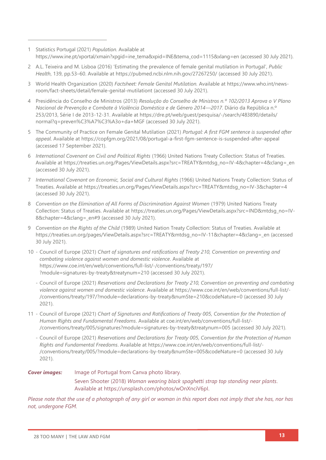1 Statistics Portugal (2021) *Population*. Available at [https://www.ine.pt/xportal/xmain?xpgid=ine\\_tema&xpid=INE&tema\\_cod=1115&xlang=en](https://www.ine.pt/xportal/xmain?xpgid=ine_tema&xpid=INE&tema_cod=1115&xlang=en) (accessed 30 July 2021).

- 2 A.L. Teixeira and M. Lisboa (2016) 'Estimating the prevalence of female genital mutilation in Portugal', *Public Health*, 139, pp.53–60. Available at<https://pubmed.ncbi.nlm.nih.gov/27267250/> (accessed 30 July 2021).
- 3 World Health Organization (2020) *Factsheet: Female Genital Mutilation.* Available at https://www.who.int/newsroom/fact-sheets/detail/female-genital-mutilationt (accessed 30 July 2021).
- 4 Presidência do Conselho de Ministros (2013) *Resolução do Conselho de Ministros n.º 102/2013 Aprova o V Plano Nacional de Prevenção e Combate à Violência Doméstica e de Género 2014—2017*. Diário da República n.º 253/2013, Série I de 2013-12-31. Available at [https://dre.pt/web/guest/pesquisa/-/search/483890/details/](https://dre.pt/web/guest/pesquisa/-/search/483890/details/normal?q=preven%C3%A7%C3%A3o+da+MGF) [normal?q=preven%C3%A7%C3%A3o+da+MGF](https://dre.pt/web/guest/pesquisa/-/search/483890/details/normal?q=preven%C3%A7%C3%A3o+da+MGF) (accessed 30 July 2021).
- 5 The Community of Practice on Female Genital Mutilation (2021) *Portugal: A first FGM sentence is suspended after appeal*. Available at<https://copfgm.org/2021/08/portugal-a-first-fgm-sentence-is-suspended-after-appeal> (accessed 17 September 2021).
- 6 *International Covenant on Civil and Political Rights* (1966) United Nations Treaty Collection: Status of Treaties*.* Available at [https://treaties.un.org/Pages/ViewDetails.aspx?src=TREATY&mtdsg\\_no=IV-4&chapter=4&clang=\\_en](https://treaties.un.org/Pages/ViewDetails.aspx?src=TREATY&mtdsg_no=IV-4&chapter=4&clang=_en) (accessed 30 July 2021).
- 7 *International Covenant on Economic, Social and Cultural Rights* (1966) United Nations Treaty Collection: Status of Treaties. Available at [https://treaties.un.org/Pages/ViewDetails.aspx?src=TREATY&mtdsg\\_no=IV-3&chapter=4](https://treaties.un.org/Pages/ViewDetails.aspx?src=TREATY&mtdsg_no=IV-3&chapter=4) (accessed 30 July 2021).
- 8 Convention on the Elimination of All Forms of Discrimination Against Women (1979) United Nations Treaty Collection: Status of Treaties. Available at [https://treaties.un.org/Pages/ViewDetails.aspx?src=IND&mtdsg\\_no=IV-](https://treaties.un.org/Pages/ViewDetails.aspx?src=IND&mtdsg_no=IV-8&chapter=4&clang=_en#9)8&chapter=4&clang= en#9 (accessed 30 July 2021).
- 9 *Convention on the Rights of the Child* (1989) United Nation Treaty Collection: Status of Treaties. Available at [https://treaties.un.org/pages/ViewDetails.aspx?src=TREATY&mtdsg\\_no=IV-11&chapter=4&clang=\\_en](https://treaties.un.org/pages/ViewDetails.aspx?src=TREATY&mtdsg_no=IV-11&chapter=4&clang=_en) (accessed 30 July 2021).
- 10 Council of Europe (2021) *Chart of signatures and ratifications of Treaty 210, Convention on preventing and combating violence against women and domestic violence*. Available at [https://www.coe.int/en/web/conventions/full-list/-/conventions/treaty/197/](https://www.coe.int/en/web/conventions/full-list/-/conventions/treaty/197/?module=signatures-by-treaty&treatynum=210) [?module=signatures-by-treaty&treatynum=210](https://www.coe.int/en/web/conventions/full-list/-/conventions/treaty/197/?module=signatures-by-treaty&treatynum=210) (accessed 30 July 2021).
	- Council of Europe (2021) *Reservations and Declarations for Treaty 210, Convention on preventing and combating violence against women and domestic violence*. Available at [https://www.coe.int/en/web/conventions/full-list/-](https://www.coe.int/en/web/conventions/full-list/-/conventions/treaty/197/?module=declarations-by-treaty&numSte=210&codeNature=0) [/conventions/treaty/197/?module=declarations-by-treaty&numSte=210&codeNature=0](https://www.coe.int/en/web/conventions/full-list/-/conventions/treaty/197/?module=declarations-by-treaty&numSte=210&codeNature=0) (accessed 30 July 2021).
- 11 Council of Europe (2021) *Chart of Signatures and Ratifications of Treaty 005, Convention for the Protection of Human Rights and Fundamental Freedoms*. Available at [coe.int/en/web/conventions/full-list/-](coe.int/en/web/conventions/full-list/-/conventions/treaty/005/signatures?module=signatures-by-treaty&treatynum=005) [/conventions/treaty/005/signatures?module=signatures-by-treaty&treatynum=005](coe.int/en/web/conventions/full-list/-/conventions/treaty/005/signatures?module=signatures-by-treaty&treatynum=005) (accessed 30 July 2021).
	- Council of Europe (2021) *Reservations and Declarations for Treaty 005, Convention for the Protection of Human Rights and Fundamental Freedoms*. Available at [https://www.coe.int/en/web/conventions/full-list/-](https://www.coe.int/en/web/conventions/full-list/-/conventions/treaty/005/?module=declarations-by-treaty&numSte=005&codeNature=0) [/conventions/treaty/005/?module=declarations-by-treaty&numSte=005&codeNature=0](https://www.coe.int/en/web/conventions/full-list/-/conventions/treaty/005/?module=declarations-by-treaty&numSte=005&codeNature=0) (accessed 30 July 2021).

*Cover images:* Image of Portugal from Canva photo library. Seven Shooter (2018) *Woman wearing black spaghetti strap top standing near plants*. Available at [https://unsplash.com/photos/wOnXnciV6pI.](https://unsplash.com/photos/wOnXnciV6pI)

*Please note that the use of a photograph of any girl or woman in this report does not imply that she has, nor has not, undergone FGM.*